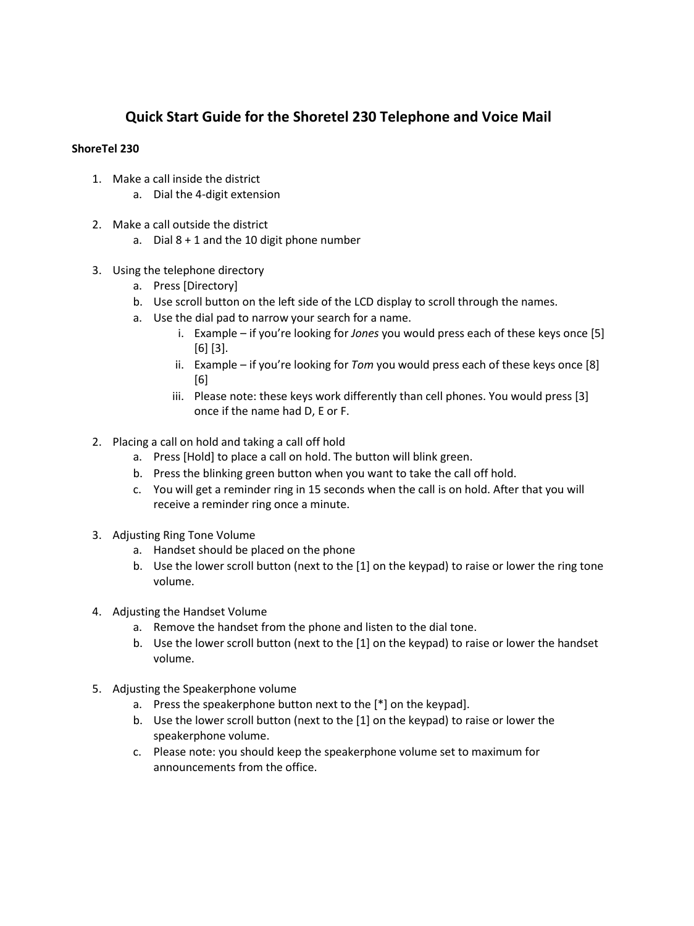## **Quick Start Guide for the Shoretel 230 Telephone and Voice Mail**

## **ShoreTel 230**

- 1. Make a call inside the district
	- a. Dial the 4-digit extension
- 2. Make a call outside the district
	- a. Dial 8 + 1 and the 10 digit phone number
- 3. Using the telephone directory
	- a. Press [Directory]
	- b. Use scroll button on the left side of the LCD display to scroll through the names.
	- a. Use the dial pad to narrow your search for a name.
		- i. Example if you're looking for *Jones* you would press each of these keys once [5] [6] [3].
		- ii. Example if you're looking for *Tom* you would press each of these keys once [8] [6]
		- iii. Please note: these keys work differently than cell phones. You would press [3] once if the name had D, E or F.
- 2. Placing a call on hold and taking a call off hold
	- a. Press [Hold] to place a call on hold. The button will blink green.
	- b. Press the blinking green button when you want to take the call off hold.
	- c. You will get a reminder ring in 15 seconds when the call is on hold. After that you will receive a reminder ring once a minute.
- 3. Adjusting Ring Tone Volume
	- a. Handset should be placed on the phone
	- b. Use the lower scroll button (next to the [1] on the keypad) to raise or lower the ring tone volume.
- 4. Adjusting the Handset Volume
	- a. Remove the handset from the phone and listen to the dial tone.
	- b. Use the lower scroll button (next to the [1] on the keypad) to raise or lower the handset volume.
- 5. Adjusting the Speakerphone volume
	- a. Press the speakerphone button next to the [\*] on the keypad].
	- b. Use the lower scroll button (next to the [1] on the keypad) to raise or lower the speakerphone volume.
	- c. Please note: you should keep the speakerphone volume set to maximum for announcements from the office.